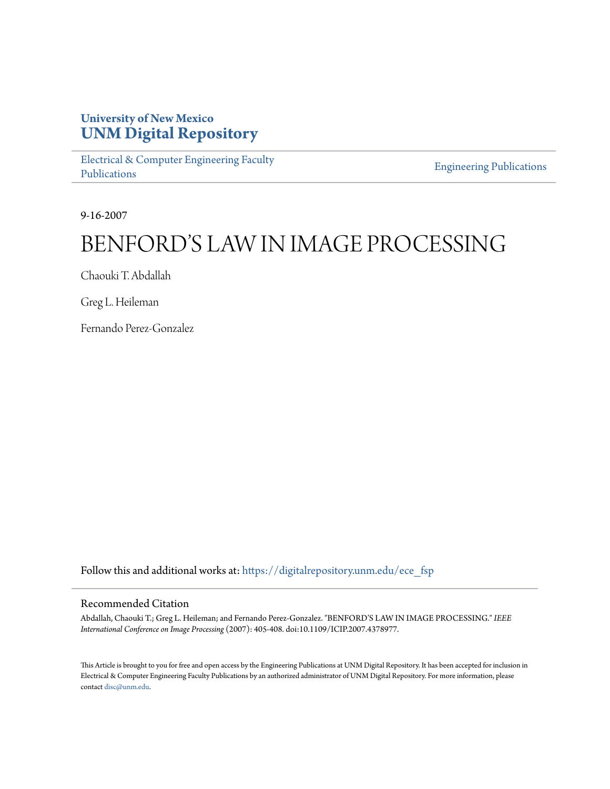# **University of New Mexico [UNM Digital Repository](https://digitalrepository.unm.edu?utm_source=digitalrepository.unm.edu%2Fece_fsp%2F129&utm_medium=PDF&utm_campaign=PDFCoverPages)**

[Electrical & Computer Engineering Faculty](https://digitalrepository.unm.edu/ece_fsp?utm_source=digitalrepository.unm.edu%2Fece_fsp%2F129&utm_medium=PDF&utm_campaign=PDFCoverPages) [Publications](https://digitalrepository.unm.edu/ece_fsp?utm_source=digitalrepository.unm.edu%2Fece_fsp%2F129&utm_medium=PDF&utm_campaign=PDFCoverPages)

[Engineering Publications](https://digitalrepository.unm.edu/eng_fsp?utm_source=digitalrepository.unm.edu%2Fece_fsp%2F129&utm_medium=PDF&utm_campaign=PDFCoverPages)

9-16-2007

# BENFORD'S LAW IN IMAGE PROCESSING

Chaouki T. Abdallah

Greg L. Heileman

Fernando Perez-Gonzalez

Follow this and additional works at: [https://digitalrepository.unm.edu/ece\\_fsp](https://digitalrepository.unm.edu/ece_fsp?utm_source=digitalrepository.unm.edu%2Fece_fsp%2F129&utm_medium=PDF&utm_campaign=PDFCoverPages)

## Recommended Citation

Abdallah, Chaouki T.; Greg L. Heileman; and Fernando Perez-Gonzalez. "BENFORD'S LAW IN IMAGE PROCESSING." *IEEE International Conference on Image Processing* (2007): 405-408. doi:10.1109/ICIP.2007.4378977.

This Article is brought to you for free and open access by the Engineering Publications at UNM Digital Repository. It has been accepted for inclusion in Electrical & Computer Engineering Faculty Publications by an authorized administrator of UNM Digital Repository. For more information, please contact [disc@unm.edu.](mailto:disc@unm.edu)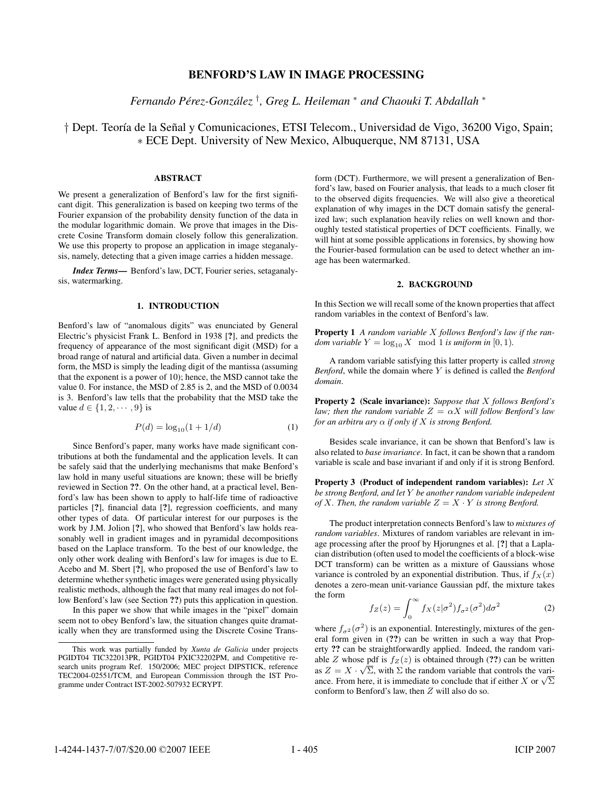### BENFORD'S LAW IN IMAGE PROCESSING

*Fernando Perez-Gonz ´ alez ´* † *, Greg L. Heileman* <sup>∗</sup> *and Chaouki T. Abdallah* <sup>∗</sup>

† Dept. Teor´ıa de la Senal y Comunicaciones, ETSI Telecom., Universidad de Vigo, 36200 Vigo, Spain; ˜ ∗ ECE Dept. University of New Mexico, Albuquerque, NM 87131, USA

#### ABSTRACT

We present a generalization of Benford's law for the first significant digit. This generalization is based on keeping two terms of the Fourier expansion of the probability density function of the data in the modular logarithmic domain. We prove that images in the Discrete Cosine Transform domain closely follow this generalization. We use this property to propose an application in image steganalysis, namely, detecting that a given image carries a hidden message.

*Index Terms*— Benford's law, DCT, Fourier series, setaganalysis, watermarking.

#### 1. INTRODUCTION

Benford's law of "anomalous digits" was enunciated by General Electric's physicist Frank L. Benford in 1938 [?], and predicts the frequency of appearance of the most significant digit (MSD) for a broad range of natural and artificial data. Given a number in decimal form, the MSD is simply the leading digit of the mantissa (assuming that the exponent is a power of 10); hence, the MSD cannot take the value 0. For instance, the MSD of 2.85 is 2, and the MSD of 0.0034 is 3. Benford's law tells that the probability that the MSD take the value *d* ∈ {1, 2, · · · , 9} is

$$
P(d) = \log_{10}(1 + 1/d) \tag{1}
$$

Since Benford's paper, many works have made significant contributions at both the fundamental and the application levels. It can be safely said that the underlying mechanisms that make Benford's law hold in many useful situations are known; these will be briefly reviewed in Section ??. On the other hand, at a practical level, Benford's law has been shown to apply to half-life time of radioactive particles [?], financial data [?], regression coefficients, and many other types of data. Of particular interest for our purposes is the work by J.M. Jolion [?], who showed that Benford's law holds reasonably well in gradient images and in pyramidal decompositions based on the Laplace transform. To the best of our knowledge, the only other work dealing with Benford's law for images is due to E. Acebo and M. Sbert [?], who proposed the use of Benford's law to determine whether synthetic images were generated using physically realistic methods, although the fact that many real images do not follow Benford's law (see Section ??) puts this application in question.

In this paper we show that while images in the "pixel" domain seem not to obey Benford's law, the situation changes quite dramatically when they are transformed using the Discrete Cosine Transform (DCT). Furthermore, we will present a generalization of Benford's law, based on Fourier analysis, that leads to a much closer fit to the observed digits frequencies. We will also give a theoretical explanation of why images in the DCT domain satisfy the generalized law; such explanation heavily relies on well known and thoroughly tested statistical properties of DCT coefficients. Finally, we will hint at some possible applications in forensics, by showing how the Fourier-based formulation can be used to detect whether an image has been watermarked.

#### 2. BACKGROUND

In this Section we will recall some of the known properties that affect random variables in the context of Benford's law.

Property 1 *A random variable* X *follows Benford's law if the random variable*  $Y = \log_{10} X \mod 1$  *is uniform in* [0, 1].

A random variable satisfying this latter property is called *strong Benford*, while the domain where Y is defined is called the *Benford domain*.

Property 2 (Scale invariance): *Suppose that* X *follows Benford's law; then the random variable*  $Z = \alpha X$  *will follow Benford's law for an arbitru ary* α *if only if* X *is strong Benford.*

Besides scale invariance, it can be shown that Benford's law is also related to *base invariance*. In fact, it can be shown that a random variable is scale and base invariant if and only if it is strong Benford.

Property 3 (Product of independent random variables): *Let* X *be strong Benford, and let* Y *be another random variable indepedent of*  $X$ *. Then, the random variable*  $Z = X \cdot Y$  *is strong Benford.* 

The product interpretation connects Benford's law to *mixtures of random variables*. Mixtures of random variables are relevant in image processing after the proof by Hjorungnes et al. [?] that a Laplacian distribution (often used to model the coefficients of a block-wise DCT transform) can be written as a mixture of Gaussians whose variance is controled by an exponential distribution. Thus, if  $f_X(x)$ denotes a zero-mean unit-variance Gaussian pdf, the mixture takes the form

$$
f_Z(z) = \int_0^\infty f_X(z|\sigma^2) f_{\sigma^2}(\sigma^2) d\sigma^2 \tag{2}
$$

where  $f_{\sigma^2}(\sigma^2)$  is an exponential. Interestingly, mixtures of the general form given in (??) can be written in such a way that Property ?? can be straightforwardly applied. Indeed, the random variable Z whose pdf is  $f_Z(z)$  is obtained through (??) can be written able Z whose put is  $JZ(z)$  is obtained unough (11) can be written<br>as  $Z = X \cdot \sqrt{\Sigma}$ , with  $\Sigma$  the random variable that controls the variance. From here, it is immediate to conclude that if either X or  $\sqrt{\Sigma}$ conform to Benford's law, then Z will also do so.

This work was partially funded by *Xunta de Galicia* under projects PGIDT04 TIC322013PR, PGIDT04 PXIC32202PM, and Competitive research units program Ref. 150/2006; MEC project DIPSTICK, reference TEC2004-02551/TCM, and European Commission through the IST Programme under Contract IST-2002-507932 ECRYPT.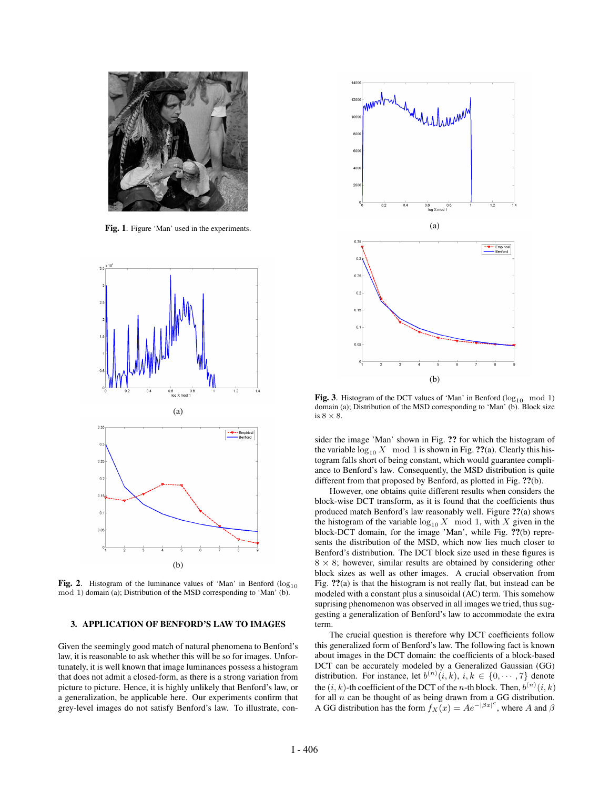

Fig. 1. Figure 'Man' used in the experiments.



**Fig. 2.** Histogram of the luminance values of 'Man' in Benford ( $log_{10}$ ) mod 1) domain (a); Distribution of the MSD corresponding to 'Man' (b).

#### 3. APPLICATION OF BENFORD'S LAW TO IMAGES

Given the seemingly good match of natural phenomena to Benford's law, it is reasonable to ask whether this will be so for images. Unfortunately, it is well known that image luminances possess a histogram that does not admit a closed-form, as there is a strong variation from picture to picture. Hence, it is highly unlikely that Benford's law, or a generalization, be applicable here. Our experiments confirm that grey-level images do not satisfy Benford's law. To illustrate, con-



Fig. 3. Histogram of the DCT values of 'Man' in Benford ( $log_{10} \mod 1$ ) domain (a); Distribution of the MSD corresponding to 'Man' (b). Block size is  $8 \times 8$ .

sider the image 'Man' shown in Fig. ?? for which the histogram of the variable  $\log_{10} X$  mod 1 is shown in Fig. ??(a). Clearly this histogram falls short of being constant, which would guarantee compliance to Benford's law. Consequently, the MSD distribution is quite different from that proposed by Benford, as plotted in Fig. ??(b).

However, one obtains quite different results when considers the block-wise DCT transform, as it is found that the coefficients thus produced match Benford's law reasonably well. Figure ??(a) shows the histogram of the variable  $\log_{10} X \mod 1$ , with X given in the block-DCT domain, for the image 'Man', while Fig. ??(b) represents the distribution of the MSD, which now lies much closer to Benford's distribution. The DCT block size used in these figures is  $8 \times 8$ ; however, similar results are obtained by considering other block sizes as well as other images. A crucial observation from Fig. ??(a) is that the histogram is not really flat, but instead can be modeled with a constant plus a sinusoidal (AC) term. This somehow suprising phenomenon was observed in all images we tried, thus suggesting a generalization of Benford's law to accommodate the extra term.

The crucial question is therefore why DCT coefficients follow this generalized form of Benford's law. The following fact is known about images in the DCT domain: the coefficients of a block-based DCT can be accurately modeled by a Generalized Gaussian (GG) distribution. For instance, let  $b^{(n)}(i,k)$ ,  $i, k \in \{0, \cdots, 7\}$  denote the  $(i, k)$ -th coefficient of the DCT of the *n*-th block. Then,  $b^{(n)}(i, k)$ for all  $n$  can be thought of as being drawn from a GG distribution. A GG distribution has the form  $f_X(x) = Ae^{-|\beta x|^c}$ , where A and  $\beta$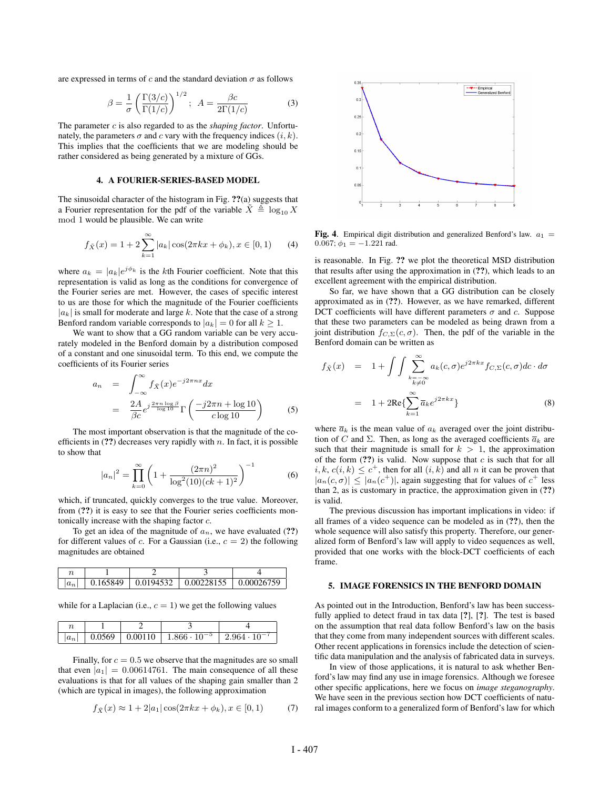are expressed in terms of c and the standard deviation  $\sigma$  as follows

$$
\beta = \frac{1}{\sigma} \left( \frac{\Gamma(3/c)}{\Gamma(1/c)} \right)^{1/2}; \ \ A = \frac{\beta c}{2\Gamma(1/c)} \tag{3}
$$

The parameter c is also regarded to as the *shaping factor*. Unfortunately, the parameters  $\sigma$  and c vary with the frequency indices  $(i, k)$ . This implies that the coefficients that we are modeling should be rather considered as being generated by a mixture of GGs.

#### 4. A FOURIER-SERIES-BASED MODEL

The sinusoidal character of the histogram in Fig. ??(a) suggests that a Fourier representation for the pdf of the variable  $\tilde{X} \triangleq \log_{10} X$ mod 1 would be plausible. We can write

$$
f_{\tilde{X}}(x) = 1 + 2 \sum_{k=1}^{\infty} |a_k| \cos(2\pi k x + \phi_k), x \in [0, 1)
$$
 (4)

where  $a_k = |a_k|e^{j\phi_k}$  is the kth Fourier coefficient. Note that this representation is valid as long as the conditions for convergence of the Fourier series are met. However, the cases of specific interest to us are those for which the magnitude of the Fourier coefficients  $|a_k|$  is small for moderate and large k. Note that the case of a strong Benford random variable corresponds to  $|a_k| = 0$  for all  $k \ge 1$ .

We want to show that a GG random variable can be very accurately modeled in the Benford domain by a distribution composed of a constant and one sinusoidal term. To this end, we compute the coefficients of its Fourier series

$$
a_n = \int_{-\infty}^{\infty} f_{\tilde{X}}(x) e^{-j2\pi nx} dx
$$
  
= 
$$
\frac{2A}{\beta c} e^{j\frac{2\pi n \log \beta}{\log 10}} \Gamma\left(\frac{-j2\pi n + \log 10}{c \log 10}\right)
$$
 (5)

The most important observation is that the magnitude of the coefficients in  $(?)$  decreases very rapidly with n. In fact, it is possible to show that

$$
|a_n|^2 = \prod_{k=0}^{\infty} \left( 1 + \frac{(2\pi n)^2}{\log^2(10)(ck+1)^2} \right)^{-1}
$$
 (6)

which, if truncated, quickly converges to the true value. Moreover, from (??) it is easy to see that the Fourier series coefficients montonically increase with the shaping factor c.

To get an idea of the magnitude of  $a_n$ , we have evaluated (??) for different values of c. For a Gaussian (i.e.,  $c = 2$ ) the following magnitudes are obtained

|  | $ a_n $   0.165849   0.0194532   0.00228155   0.00026759 |  |
|--|----------------------------------------------------------|--|

while for a Laplacian (i.e.,  $c = 1$ ) we get the following values

|  |  | $ a_n $   0.0569   0.00110   1.866 $\cdot 10^{-5}$   2.964 $\cdot 10^{-7}$ |  |
|--|--|----------------------------------------------------------------------------|--|

Finally, for  $c = 0.5$  we observe that the magnitudes are so small that even  $|a_1| = 0.00614761$ . The main consequence of all these evaluations is that for all values of the shaping gain smaller than 2 (which are typical in images), the following approximation

$$
f_{\tilde{X}}(x) \approx 1 + 2|a_1|\cos(2\pi kx + \phi_k), x \in [0, 1)
$$
 (7)



**Fig. 4.** Empirical digit distribution and generalized Benford's law.  $a_1 =$ 0.067;  $\phi_1 = -1.221$  rad.

is reasonable. In Fig. ?? we plot the theoretical MSD distribution that results after using the approximation in (??), which leads to an excellent agreement with the empirical distribution.

So far, we have shown that a GG distribution can be closely approximated as in (??). However, as we have remarked, different DCT coefficients will have different parameters  $\sigma$  and c. Suppose that these two parameters can be modeled as being drawn from a joint distribution  $f_{C,\Sigma}(c,\sigma)$ . Then, the pdf of the variable in the Benford domain can be written as

$$
f_{\tilde{X}}(x) = 1 + \int \int \sum_{\substack{k=-\infty\\k\neq 0}}^{\infty} a_k(c,\sigma) e^{j2\pi kx} f_{C,\Sigma}(c,\sigma) dc \cdot d\sigma
$$
  

$$
= 1 + 2\text{Re}\{\sum_{k=1}^{\infty} \overline{a}_k e^{j2\pi kx}\}
$$
(8)

where  $\overline{a}_k$  is the mean value of  $a_k$  averaged over the joint distribution of C and  $\Sigma$ . Then, as long as the averaged coefficients  $\overline{a}_k$  are such that their magnitude is small for  $k > 1$ , the approximation of the form  $(?)$  is valid. Now suppose that c is such that for all  $i, k, c(i, k) \leq c^+$ , then for all  $(i, k)$  and all n it can be proven that  $|a_n(c, \sigma)| \leq |a_n(c^+)|$ , again suggesting that for values of  $c^+$  less than 2, as is customary in practice, the approximation given in (??) is valid.

The previous discussion has important implications in video: if all frames of a video sequence can be modeled as in (??), then the whole sequence will also satisfy this property. Therefore, our generalized form of Benford's law will apply to video sequences as well, provided that one works with the block-DCT coefficients of each frame.

#### 5. IMAGE FORENSICS IN THE BENFORD DOMAIN

As pointed out in the Introduction, Benford's law has been successfully applied to detect fraud in tax data [?], [?]. The test is based on the assumption that real data follow Benford's law on the basis that they come from many independent sources with different scales. Other recent applications in forensics include the detection of scientific data manipulation and the analysis of fabricated data in surveys.

In view of those applications, it is natural to ask whether Benford's law may find any use in image forensics. Although we foresee other specific applications, here we focus on *image steganography*. We have seen in the previous section how DCT coefficients of natural images conform to a generalized form of Benford's law for which